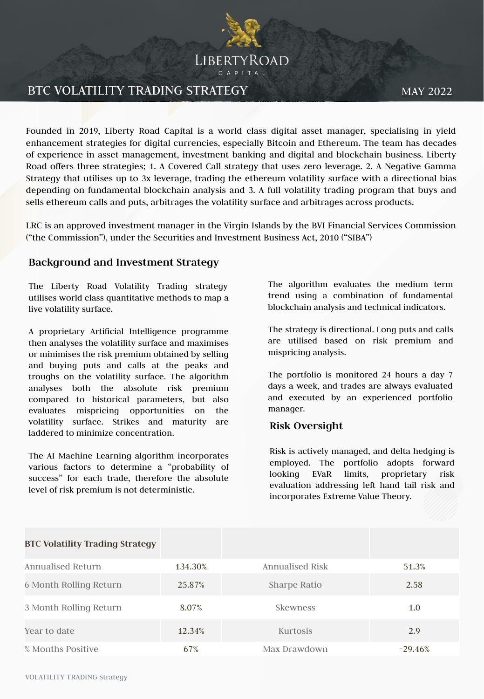

## BTC VOLATILITY TRADING STRATEGY

MAY 2022

Founded in 2019, Liberty Road Capital is a world class digital asset manager, specialising in yield enhancement strategies for digital currencies, especially Bitcoin and Ethereum. The team has decades of experience in asset management, investment banking and digital and blockchain business. Liberty Road offers three strategies; 1. A Covered Call strategy that uses zero leverage. 2. A Negative Gamma Strategy that utilises up to 3x leverage, trading the ethereum volatility surface with a directional bias depending on fundamental blockchain analysis and 3. A full volatility trading program that buys and sells ethereum calls and puts, arbitrages the volatility surface and arbitrages across products.

LRC is an approved investment manager in the Virgin Islands by the BVI Financial Services Commission ("the Commission"), under the Securities and Investment Business Act, 2010 ("SIBA")

#### **Background and Investment Strategy**

The Liberty Road Volatility Trading strategy utilises world class quantitative methods to map a live volatility surface.

A proprietary Artificial Intelligence programme then analyses the volatility surface and maximises or minimises the risk premium obtained by selling and buying puts and calls at the peaks and troughs on the volatility surface. The algorithm analyses both the absolute risk premium compared to historical parameters, but also evaluates mispricing opportunities on the volatility surface. Strikes and maturity are laddered to minimize concentration.

The AI Machine Learning algorithm incorporates various factors to determine a "probability of success" for each trade, therefore the absolute level of risk premium is not deterministic.

The algorithm evaluates the medium term trend using a combination of fundamental blockchain analysis and technical indicators.

The strategy is directional. Long puts and calls are utilised based on risk premium and mispricing analysis.

The portfolio is monitored 24 hours a day 7 days a week, and trades are always evaluated and executed by an experienced portfolio manager.

### **Risk Oversight**

Risk is actively managed, and delta hedging is employed. The portfolio adopts forward looking EVaR limits, proprietary risk evaluation addressing left hand tail risk and incorporates Extreme Value Theory.

| <b>BTC Volatility Trading Strategy</b> |         |                 |           |
|----------------------------------------|---------|-----------------|-----------|
| <b>Annualised Return</b>               | 134.30% | Annualised Risk | 51.3%     |
| 6 Month Rolling Return                 | 25.87%  | Sharpe Ratio    | 2.58      |
| 3 Month Rolling Return                 | 8.07%   | <b>Skewness</b> | 1.0       |
| Year to date                           | 12.34%  | <b>Kurtosis</b> | 2.9       |
| % Months Positive                      | 67%     | Max Drawdown    | $-29.46%$ |